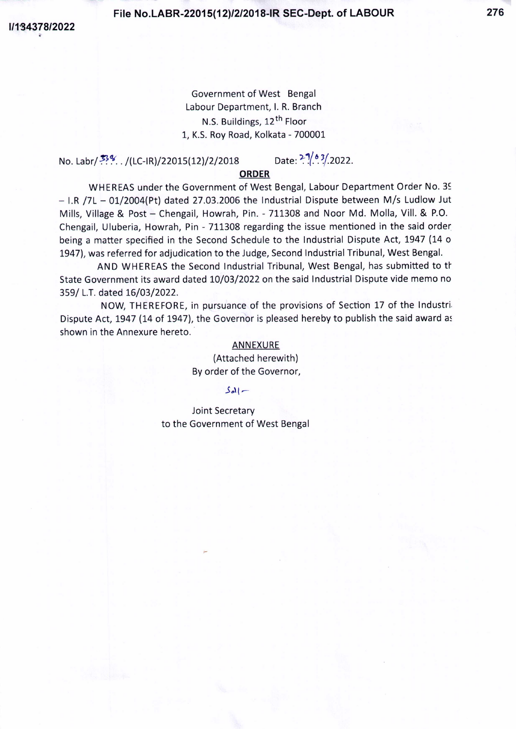**File No.LABR-22015(12)/2/2018-IR SEC-Dept. of LABOUR 276**

*1/1'34378/2022*

Government of West Bengal labour Department, I. R. Branch N.S. Buildings, 12<sup>th</sup> Floor 1, K.S. Roy Road, Kolkata - 700001

No. Labr/  $\frac{33\%}{1000}$ . /(LC-IR)/22015(12)/2/2018 Date:  $\frac{2\%}{1000}$ . 2022.

## **ORDER**

WHEREAS under the Government of West Bengal, Labour Department Order No. 39  $-$  I.R /7L  $-$  01/2004(Pt) dated 27.03.2006 the Industrial Dispute between M/s Ludlow Jut Mills, Village & Post - Chengail, Howrah, Pin. - 711308 and Noor Md. Molla, Vill. & P.O. Chengail, Uluberia, Howrah, Pin - 711308 regarding the issue mentioned in the said order being a matter specified in the Second Schedule to the Industrial Dispute Act, 1947 (14 0 1947), was referred for adjudication to the Judge, Second Industrial Tribunal, West Bengal.

AND WHEREAS the Second Industrial Tribunal, West Bengal, has submitted to tt State Government its award dated 10/03/2022 on the said Industrial Dispute vide memo no 359/ L.T.dated 16/03/2022.

NOW, THEREFORE, in pursuance of the provisions of Section 17 of the Industri-Dispute Act, 1947 (14 of 1947), the Governor is pleased hereby to publish the said award as shown in the Annexure hereto.

#### **ANNEXURE**

(Attached herewith) By order of the Governor,

#### $|S_{el}|$  –

Joint Secretary to the Government of West Bengal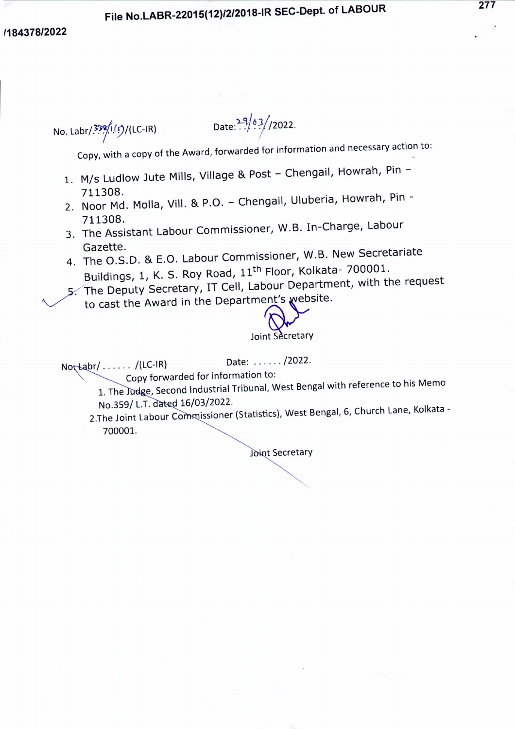## *'184378/2022*

No. Labr/ $\frac{339}{157}$ (f)/(LC-IR)

Date: $\frac{29/63}{22022}$ .

Copy, with a copy of the Award, forwarded for information and necessary action to:

- 1. M/s Ludlow Jute Mills, Village & Post Chengail, Howrah, Pin -711308.
- 2. Noor Md. Molla, Vill. & P.O. Chengail, Uluberia, Howrah, Pin -711308.
- 3. The Assistant Labour Commissioner, W.B. In-Charge, Labour Gazette.
- 4. The O.S.D. & E.O. Labour Commissioner, W.B. New Secretariate Buildings, 1, K. S. Roy Road, 11<sup>th</sup> Floor, Kolkata- 700001. 5. The Deputy Secretary, IT Cell, Labour Department, with the request
	- to cast the Award in the Department's website.



Joint Secretary

 $\begin{equation*} \begin{array}{c} \text{Note: } \dots \dots / \text{1C-IR} \\ \text{Conv forwarded for information to:} \end{array} \end{equation*}$ Copy forwarded for information to:

1. The Judge, Second Industrial Tribunal, West Bengal with reference to his Memo No.359/ L.T. dated 16/03/2022.

2.The Joint Labour Commissioner (Statistics), West Bengal, 6, Church Lane, Kolkata -700001.

Joint Secretary